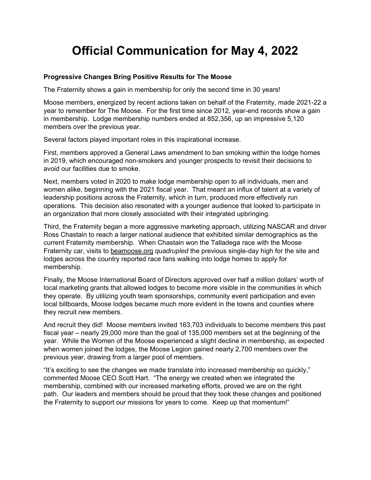# **Official Communication for May 4, 2022**

# **Progressive Changes Bring Positive Results for The Moose**

The Fraternity shows a gain in membership for only the second time in 30 years!

Moose members, energized by recent actions taken on behalf of the Fraternity, made 2021-22 a year to remember for The Moose. For the first time since 2012, year-end records show a gain in membership. Lodge membership numbers ended at 852,356, up an impressive 5,120 members over the previous year.

Several factors played important roles in this inspirational increase.

First, members approved a General Laws amendment to ban smoking within the lodge homes in 2019, which encouraged non-smokers and younger prospects to revisit their decisions to avoid our facilities due to smoke.

Next, members voted in 2020 to make lodge membership open to all individuals, men and women alike, beginning with the 2021 fiscal year. That meant an influx of talent at a variety of leadership positions across the Fraternity, which in turn, produced more effectively run operations. This decision also resonated with a younger audience that looked to participate in an organization that more closely associated with their integrated upbringing.

Third, the Fraternity began a more aggressive marketing approach, utilizing NASCAR and driver Ross Chastain to reach a larger national audience that exhibited similar demographics as the current Fraternity membership. When Chastain won the Talladega race with the Moose Fraternity car, visits to beamoose.org *quadrupled* the previous single-day high for the site and lodges across the country reported race fans walking into lodge homes to apply for membership.

Finally, the Moose International Board of Directors approved over half a million dollars' worth of local marketing grants that allowed lodges to become more visible in the communities in which they operate. By utilizing youth team sponsorships, community event participation and even local billboards, Moose lodges became much more evident in the towns and counties where they recruit new members.

And recruit they did! Moose members invited 163,703 individuals to become members this past fiscal year – nearly 29,000 more than the goal of 135,000 members set at the beginning of the year. While the Women of the Moose experienced a slight decline in membership, as expected when women joined the lodges, the Moose Legion gained nearly 2,700 members over the previous year, drawing from a larger pool of members.

"It's exciting to see the changes we made translate into increased membership so quickly," commented Moose CEO Scott Hart. "The energy we created when we integrated the membership, combined with our increased marketing efforts, proved we are on the right path. Our leaders and members should be proud that they took these changes and positioned the Fraternity to support our missions for years to come. Keep up that momentum!"